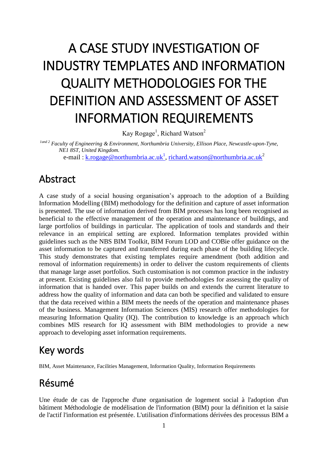# A CASE STUDY INVESTIGATION OF INDUSTRY TEMPLATES AND INFORMATION QUALITY METHODOLOGIES FOR THE DEFINITION AND ASSESSMENT OF ASSET INFORMATION REQUIREMENTS

Kay Rogage<sup>1</sup>, Richard Watson<sup>2</sup>

*1and 2 Faculty of Engineering & Environment, Northumbria University, Ellison Place, Newcastle-upon-Tyne, NE1 8ST, United Kingdom.*

e-mail : <u>k.rogage@northumbria.ac.uk<sup>1</sup>, [richard.watson@northumbria.ac.uk](mailto:richard.watson@northumbria.ac.uk)</u><sup>2</sup>

#### Abstract

A case study of a social housing organisation's approach to the adoption of a Building Information Modelling (BIM) methodology for the definition and capture of asset information is presented. The use of information derived from BIM processes has long been recognised as beneficial to the effective management of the operation and maintenance of buildings, and large portfolios of buildings in particular. The application of tools and standards and their relevance in an empirical setting are explored. Information templates provided within guidelines such as the NBS BIM Toolkit, BIM Forum LOD and COBie offer guidance on the asset information to be captured and transferred during each phase of the building lifecycle. This study demonstrates that existing templates require amendment (both addition and removal of information requirements) in order to deliver the custom requirements of clients that manage large asset portfolios. Such customisation is not common practice in the industry at present. Existing guidelines also fail to provide methodologies for assessing the quality of information that is handed over. This paper builds on and extends the current literature to address how the quality of information and data can both be specified and validated to ensure that the data received within a BIM meets the needs of the operation and maintenance phases of the business. Management Information Sciences (MIS) research offer methodologies for measuring Information Quality (IQ). The contribution to knowledge is an approach which combines MIS research for IQ assessment with BIM methodologies to provide a new approach to developing asset information requirements.

## Key words

BIM, Asset Maintenance, Facilities Management, Information Quality, Information Requirements

# Résumé

Une étude de cas de l'approche d'une organisation de logement social à l'adoption d'un bâtiment Méthodologie de modélisation de l'information (BIM) pour la définition et la saisie de l'actif l'information est présentée. L'utilisation d'informations dérivées des processus BIM a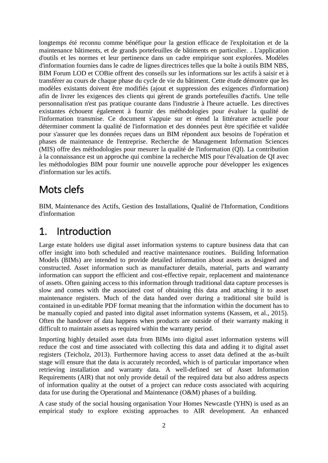longtemps été reconnu comme bénéfique pour la gestion efficace de l'exploitation et de la maintenance bâtiments, et de grands portefeuilles de bâtiments en particulier. . L'application d'outils et les normes et leur pertinence dans un cadre empirique sont explorées. Modèles d'information fournies dans le cadre de lignes directrices telles que la boîte à outils BIM NBS, BIM Forum LOD et COBie offrent des conseils sur les informations sur les actifs à saisir et à transférer au cours de chaque phase du cycle de vie du bâtiment. Cette étude démontre que les modèles existants doivent être modifiés (ajout et suppression des exigences d'information) afin de livrer les exigences des clients qui gèrent de grands portefeuilles d'actifs. Une telle personnalisation n'est pas pratique courante dans l'industrie à l'heure actuelle. Les directives existantes échouent également à fournir des méthodologies pour évaluer la qualité de l'information transmise. Ce document s'appuie sur et étend la littérature actuelle pour déterminer comment la qualité de l'information et des données peut être spécifiée et validée pour s'assurer que les données reçues dans un BIM répondent aux besoins de l'opération et phases de maintenance de l'entreprise. Recherche de Management Information Sciences (MIS) offre des méthodologies pour mesurer la qualité de l'information (QI). La contribution à la connaissance est un approche qui combine la recherche MIS pour l'évaluation de QI avec les méthodologies BIM pour fournir une nouvelle approche pour développer les exigences d'information sur les actifs.

# Mots clefs

BIM, Maintenance des Actifs, Gestion des Installations, Qualité de l'Information, Conditions d'information

#### 1. Introduction

Large estate holders use digital asset information systems to capture business data that can offer insight into both scheduled and reactive maintenance routines. Building Information Models (BIMs) are intended to provide detailed information about assets as designed and constructed. Asset information such as manufacturer details, material, parts and warranty information can support the efficient and cost-effective repair, replacement and maintenance of assets. Often gaining access to this information through traditional data capture processes is slow and comes with the associated cost of obtaining this data and attaching it to asset maintenance registers. Much of the data handed over during a traditional site build is contained in un-editable PDF format meaning that the information within the document has to be manually copied and pasted into digital asset information systems (Kassem, et al., 2015). Often the handover of data happens when products are outside of their warranty making it difficult to maintain assets as required within the warranty period.

Importing highly detailed asset data from BIMs into digital asset information systems will reduce the cost and time associated with collecting this data and adding it to digital asset registers (Teicholz, 2013). Furthermore having access to asset data defined at the as-built stage will ensure that the data is accurately recorded, which is of particular importance when retrieving installation and warranty data. A well-defined set of Asset Information Requirements (AIR) that not only provide detail of the required data but also address aspects of information quality at the outset of a project can reduce costs associated with acquiring data for use during the Operational and Maintenance (O&M) phases of a building.

A case study of the social housing organisation Your Homes Newcastle (YHN) is used as an empirical study to explore existing approaches to AIR development. An enhanced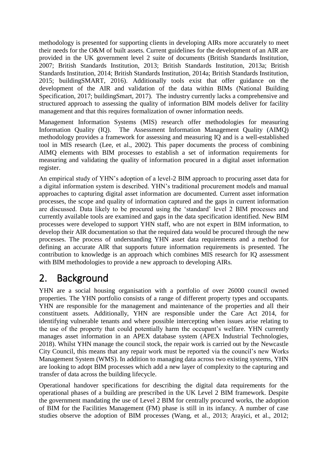methodology is presented for supporting clients in developing AIRs more accurately to meet their needs for the O&M of built assets. Current guidelines for the development of an AIR are provided in the UK government level 2 suite of documents (British Standards Institution, 2007; British Standards Institution, 2013; British Standards Institution, 2013a; British Standards Institution, 2014; British Standards Institution, 2014a; British Standards Institution, 2015; buildingSMART, 2016). Additionally tools exist that offer guidance on the development of the AIR and validation of the data within BIMs (National Building Specification, 2017; buildingSmart, 2017). The industry currently lacks a comprehensive and structured approach to assessing the quality of information BIM models deliver for facility management and that this requires formalization of owner information needs.

Management Information Systems (MIS) research offer methodologies for measuring Information Quality (IQ). The Assessment Information Management Quality (AIMQ) methodology provides a framework for assessing and measuring IQ and is a well-established tool in MIS research (Lee, et al., 2002). This paper documents the process of combining AIMQ elements with BIM processes to establish a set of information requirements for measuring and validating the quality of information procured in a digital asset information register.

An empirical study of YHN's adoption of a level-2 BIM approach to procuring asset data for a digital information system is described. YHN's traditional procurement models and manual approaches to capturing digital asset information are documented. Current asset information processes, the scope and quality of information captured and the gaps in current information are discussed. Data likely to be procured using the 'standard' level 2 BIM processes and currently available tools are examined and gaps in the data specification identified. New BIM processes were developed to support YHN staff, who are not expert in BIM information, to develop their AIR documentation so that the required data would be procured through the new processes. The process of understanding YHN asset data requirements and a method for defining an accurate AIR that supports future information requirements is presented. The contribution to knowledge is an approach which combines MIS research for IQ assessment with BIM methodologies to provide a new approach to developing AIRs.

# 2. Background

YHN are a social housing organisation with a portfolio of over 26000 council owned properties. The YHN portfolio consists of a range of different property types and occupants. YHN are responsible for the management and maintenance of the properties and all their constituent assets. Additionally, YHN are responsible under the Care Act 2014, for identifying vulnerable tenants and where possible intercepting when issues arise relating to the use of the property that could potentially harm the occupant's welfare. YHN currently manages asset information in an APEX database system (APEX Industrial Technologies, 2018). Whilst YHN manage the council stock, the repair work is carried out by the Newcastle City Council, this means that any repair work must be reported via the council's new Works Management System (WMS). In addition to managing data across two existing systems, YHN are looking to adopt BIM processes which add a new layer of complexity to the capturing and transfer of data across the building lifecycle.

Operational handover specifications for describing the digital data requirements for the operational phases of a building are prescribed in the UK Level 2 BIM framework. Despite the government mandating the use of Level 2 BIM for centrally procured works, the adoption of BIM for the Facilities Management (FM) phase is still in its infancy. A number of case studies observe the adoption of BIM processes (Wang, et al., 2013; Arayici, et al., 2012;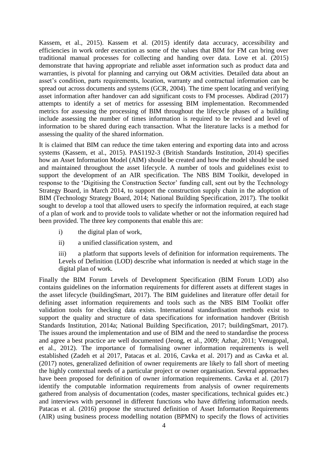Kassem, et al., 2015). Kassem et al. (2015) identify data accuracy, accessibility and efficiencies in work order execution as some of the values that BIM for FM can bring over traditional manual processes for collecting and handing over data. Love et al. (2015) demonstrate that having appropriate and reliable asset information such as product data and warranties, is pivotal for planning and carrying out O&M activities. Detailed data about an asset's condition, parts requirements, location, warranty and contractual information can be spread out across documents and systems (GCR, 2004). The time spent locating and verifying asset information after handover can add significant costs to FM processes. Abdirad (2017) attempts to identify a set of metrics for assessing BIM implementation. Recommended metrics for assessing the processing of BIM throughout the lifecycle phases of a building include assessing the number of times information is required to be revised and level of information to be shared during each transaction. What the literature lacks is a method for assessing the quality of the shared information.

It is claimed that BIM can reduce the time taken entering and exporting data into and across systems (Kassem, et al., 2015). PAS1192-3 (British Standards Institution, 2014) specifies how an Asset Information Model (AIM) should be created and how the model should be used and maintained throughout the asset lifecycle. A number of tools and guidelines exist to support the development of an AIR specification. The NBS BIM Toolkit, developed in response to the 'Digitising the Construction Sector' funding call, sent out by the Technology Strategy Board, in March 2014, to support the construction supply chain in the adoption of BIM (Technology Strategy Board, 2014; National Building Specification, 2017). The toolkit sought to develop a tool that allowed users to specify the information required, at each stage of a plan of work and to provide tools to validate whether or not the information required had been provided. The three key components that enable this are:

- i) the digital plan of work,
- ii) a unified classification system, and

iii) a platform that supports levels of definition for information requirements. The Levels of Definition (LOD) describe what information is needed at which stage in the digital plan of work.

Finally the BIM Forum Levels of Development Specification (BIM Forum LOD) also contains guidelines on the information requirements for different assets at different stages in the asset lifecycle (buildingSmart, 2017). The BIM guidelines and literature offer detail for defining asset information requirements and tools such as the NBS BIM Toolkit offer validation tools for checking data exists. International standardisation methods exist to support the quality and structure of data specifications for information handover (British Standards Institution, 2014a; National Building Specification, 2017; buildingSmart, 2017). The issues around the implementation and use of BIM and the need to standardise the process and agree a best practice are well documented (Jeong, et al., 2009; Azhar, 2011; Venugopal, et al., 2012). The importance of formalising owner information requirements is well established (Zadeh et al 2017, Patacas et al. 2016, Cavka et al. 2017) and as Cavka et al. (2017) notes, generalized definition of owner requirements are likely to fall short of meeting the highly contextual needs of a particular project or owner organisation. Several approaches have been proposed for definition of owner information requirements. Cavka et al. (2017) identify the computable information requirements from analysis of owner requirements gathered from analysis of documentation (codes, master specifications, technical guides etc.) and interviews with personnel in different functions who have differing information needs. Patacas et al. (2016) propose the structured definition of Asset Information Requirements (AIR) using business process modelling notation (BPMN) to specify the flows of activities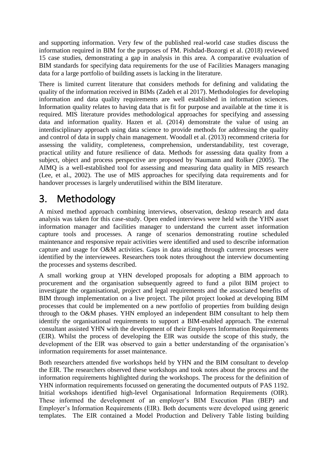and supporting information. Very few of the published real-world case studies discuss the information required in BIM for the purposes of FM. Pishdad-Bozorgi et al. (2018) reviewed 15 case studies, demonstrating a gap in analysis in this area. A comparative evaluation of BIM standards for specifying data requirements for the use of Facilities Managers managing data for a large portfolio of building assets is lacking in the literature.

There is limited current literature that considers methods for defining and validating the quality of the information received in BIMs (Zadeh et al 2017). Methodologies for developing information and data quality requirements are well established in information sciences. Information quality relates to having data that is fit for purpose and available at the time it is required. MIS literature provides methodological approaches for specifying and assessing data and information quality. Hazen et al. (2014) demonstrate the value of using an interdisciplinary approach using data science to provide methods for addressing the quality and control of data in supply chain management. Woodall et al. (2013) recommend criteria for assessing the validity, completeness, comprehension, understandability, test coverage, practical utility and future resilience of data. Methods for assessing data quality from a subject, object and process perspective are proposed by Naumann and Rolker (2005). The AIMQ is a well-established tool for assessing and measuring data quality in MIS research (Lee, et al., 2002). The use of MIS approaches for specifying data requirements and for handover processes is largely underutilised within the BIM literature.

# 3. Methodology

A mixed method approach combining interviews, observation, desktop research and data analysis was taken for this case-study. Open ended interviews were held with the YHN asset information manager and facilities manager to understand the current asset information capture tools and processes. A range of scenarios demonstrating routine scheduled maintenance and responsive repair activities were identified and used to describe information capture and usage for O&M activities. Gaps in data arising through current processes were identified by the interviewees. Researchers took notes throughout the interview documenting the processes and systems described.

A small working group at YHN developed proposals for adopting a BIM approach to procurement and the organisation subsequently agreed to fund a pilot BIM project to investigate the organisational, project and legal requirements and the associated benefits of BIM through implementation on a live project. The pilot project looked at developing BIM processes that could be implemented on a new portfolio of properties from building design through to the O&M phases. YHN employed an independent BIM consultant to help them identify the organisational requirements to support a BIM-enabled approach. The external consultant assisted YHN with the development of their Employers Information Requirements (EIR). Whilst the process of developing the EIR was outside the scope of this study, the development of the EIR was observed to gain a better understanding of the organisation's information requirements for asset maintenance.

Both researchers attended five workshops held by YHN and the BIM consultant to develop the EIR. The researchers observed these workshops and took notes about the process and the information requirements highlighted during the workshops. The process for the definition of YHN information requirements focussed on generating the documented outputs of PAS 1192. Initial workshops identified high-level Organisational Information Requirements (OIR). These informed the development of an employer's BIM Execution Plan (BEP) and Employer's Information Requirements (EIR). Both documents were developed using generic templates. The EIR contained a Model Production and Delivery Table listing building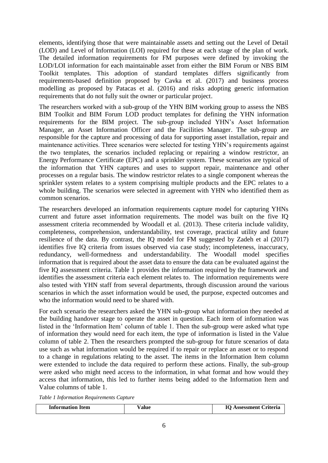elements, identifying those that were maintainable assets and setting out the Level of Detail (LOD) and Level of Information (LOI) required for these at each stage of the plan of work. The detailed information requirements for FM purposes were defined by invoking the LOD/LOI information for each maintainable asset from either the BIM Forum or NBS BIM Toolkit templates. This adoption of standard templates differs significantly from requirements-based definition proposed by Cavka et al. (2017) and business process modelling as proposed by Patacas et al. (2016) and risks adopting generic information requirements that do not fully suit the owner or particular project.

The researchers worked with a sub-group of the YHN BIM working group to assess the NBS BIM Toolkit and BIM Forum LOD product templates for defining the YHN information requirements for the BIM project. The sub-group included YHN's Asset Information Manager, an Asset Information Officer and the Facilities Manager. The sub-group are responsible for the capture and processing of data for supporting asset installation, repair and maintenance activities. Three scenarios were selected for testing YHN's requirements against the two templates, the scenarios included replacing or repairing a window restrictor, an Energy Performance Certificate (EPC) and a sprinkler system. These scenarios are typical of the information that YHN captures and uses to support repair, maintenance and other processes on a regular basis. The window restrictor relates to a single component whereas the sprinkler system relates to a system comprising multiple products and the EPC relates to a whole building. The scenarios were selected in agreement with YHN who identified them as common scenarios.

The researchers developed an information requirements capture model for capturing YHNs current and future asset information requirements. The model was built on the five IQ assessment criteria recommended by Woodall et al. (2013). These criteria include validity, completeness, comprehension, understandability, test coverage, practical utility and future resilience of the data. By contrast, the IQ model for FM suggested by Zadeh et al (2017) identifies five IQ criteria from issues observed via case study; incompleteness, inaccuracy, redundancy, well-formedness and understandability. The Woodall model specifies information that is required about the asset data to ensure the data can be evaluated against the five IQ assessment criteria. Table 1 provides the information required by the framework and identifies the assessment criteria each element relates to. The information requirements were also tested with YHN staff from several departments, through discussion around the various scenarios in which the asset information would be used, the purpose, expected outcomes and who the information would need to be shared with.

For each scenario the researchers asked the YHN sub-group what information they needed at the building handover stage to operate the asset in question. Each item of information was listed in the 'Information Item' column of table 1. Then the sub-group were asked what type of information they would need for each item, the type of information is listed in the Value column of table 2. Then the researchers prompted the sub-group for future scenarios of data use such as what information would be required if to repair or replace an asset or to respond to a change in regulations relating to the asset. The items in the Information Item column were extended to include the data required to perform these actions. Finally, the sub-group were asked who might need access to the information, in what format and how would they access that information, this led to further items being added to the Information Item and Value columns of table 1.

*Table 1 Information Requirements Capture*

| <b>Information Item</b> | /alue | <b>IO Assessment Criteria</b> |
|-------------------------|-------|-------------------------------|
|-------------------------|-------|-------------------------------|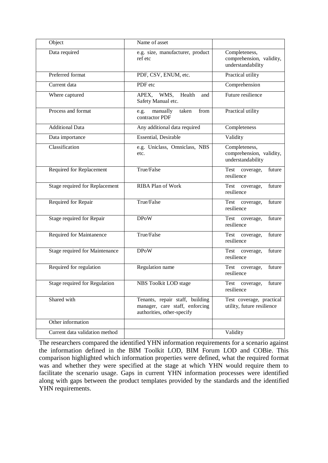| Object                         | Name of asset                                                                                                 |                                                                |  |  |
|--------------------------------|---------------------------------------------------------------------------------------------------------------|----------------------------------------------------------------|--|--|
| Data required                  | e.g. size, manufacturer, product<br>Completeness,<br>comprehension, validity,<br>ref etc<br>understandability |                                                                |  |  |
| Preferred format               | PDF, CSV, ENUM, etc.                                                                                          | Practical utility                                              |  |  |
| Current data                   | PDF etc                                                                                                       | Comprehension                                                  |  |  |
| Where captured                 | Health<br>APEX,<br>WMS,<br>and<br>Safety Manual etc.                                                          | Future resilience                                              |  |  |
| Process and format             | manually<br>taken<br>from<br>e.g.<br>contractor PDF                                                           | Practical utility                                              |  |  |
| <b>Additional Data</b>         | Any additional data required                                                                                  | Completeness                                                   |  |  |
| Data importance                | Essential, Desirable                                                                                          | Validity                                                       |  |  |
| Classification                 | e.g. Uniclass, Omniclass, NBS<br>etc.                                                                         | Completeness,<br>comprehension, validity,<br>understandability |  |  |
| Required for Replacement       | True/False                                                                                                    | Test coverage,<br>future<br>resilience                         |  |  |
| Stage required for Replacement | <b>RIBA Plan of Work</b>                                                                                      | Test coverage,<br>future<br>resilience                         |  |  |
| Required for Repair            | True/False                                                                                                    | future<br>Test coverage,<br>resilience                         |  |  |
| Stage required for Repair      | <b>DPoW</b>                                                                                                   | Test coverage,<br>future<br>resilience                         |  |  |
| Required for Maintanence       | True/False                                                                                                    | Test coverage,<br>future<br>resilience                         |  |  |
| Stage required for Maintenance | <b>DPoW</b>                                                                                                   | Test coverage,<br>future<br>resilience                         |  |  |
| Required for regulation        | Regulation name                                                                                               | Test coverage,<br>future<br>resilience                         |  |  |
| Stage required for Regulation  | NBS Toolkit LOD stage                                                                                         | Test coverage.<br>future<br>resilience                         |  |  |
| Shared with                    | Tenants, repair staff, building<br>manager, care staff, enforcing<br>authorities, other-specify               | Test coverage, practical<br>utility, future resilience         |  |  |
| Other information              |                                                                                                               |                                                                |  |  |
| Current data validation method |                                                                                                               | Validity                                                       |  |  |

The researchers compared the identified YHN information requirements for a scenario against the information defined in the BIM Toolkit LOD, BIM Forum LOD and COBie. This comparison highlighted which information properties were defined, what the required format was and whether they were specified at the stage at which YHN would require them to facilitate the scenario usage. Gaps in current YHN information processes were identified along with gaps between the product templates provided by the standards and the identified YHN requirements.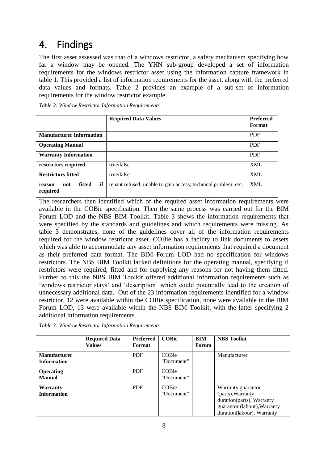# 4. Findings

The first asset assessed was that of a windows restrictor, a safety mechanism specifying how far a window may be opened. The YHN sub-group developed a set of information requirements for the windows restrictor asset using the information capture framework in table 1. This provided a list of information requirements for the asset, along with the preferred data values and formats. Table 2 provides an example of a sub-set of information requirements for the window restrictor example.

|  | Table 2: Window Restrictor Information Requirements |  |
|--|-----------------------------------------------------|--|
|--|-----------------------------------------------------|--|

|                                           | <b>Required Data Values</b>                                    | <b>Preferred</b><br>Format |
|-------------------------------------------|----------------------------------------------------------------|----------------------------|
| <b>Manufacturer Information</b>           |                                                                | <b>PDF</b>                 |
| <b>Operating Manual</b>                   |                                                                | <b>PDF</b>                 |
| <b>Warranty Information</b>               |                                                                | <b>PDF</b>                 |
| restrictors required                      | true/false                                                     | <b>XML</b>                 |
| <b>Restrictors fitted</b>                 | true/false                                                     | <b>XML</b>                 |
| if<br>fitted<br>not<br>reason<br>required | tenant refused; unable to gain access; technical problem; etc. | <b>XML</b>                 |

The researchers then identified which of the required asset information requirements were available in the COBie specification. Then the same process was carried out for the BIM Forum LOD and the NBS BIM Toolkit. Table 3 shows the information requirements that were specified by the standards and guidelines and which requirements were missing. As table 3 demonstrates, none of the guidelines cover all of the information requirements required for the window restrictor asset. COBie has a facility to link documents to assets which was able to accommodate any asset information requirements that required a document as their preferred data format. The BIM Forum LOD had no specification for windows restrictors. The NBS BIM Toolkit lacked definitions for the operating manual, specifying if restrictors were required, fitted and for supplying any reasons for not having them fitted. Further to this the NBS BIM Toolkit offered additional information requirements such as 'windows restrictor stays' and 'description' which could potentially lead to the creation of unnecessary additional data. Out of the 23 information requirements identified for a window restrictor, 12 were available within the COBie specification, none were available in the BIM Forum LOD, 13 were available within the NBS BIM Toolkit, with the latter specifying 2 additional information requirements.

|                                           | <b>Required Data</b><br><b>Values</b> | <b>Preferred</b><br>Format | <b>COBie</b>        | BIM<br>Forum | <b>NBS</b> Toolkit                                                                                                                 |
|-------------------------------------------|---------------------------------------|----------------------------|---------------------|--------------|------------------------------------------------------------------------------------------------------------------------------------|
| <b>Manufacturer</b><br><b>Information</b> |                                       | <b>PDF</b>                 | COBie<br>"Document" |              | Manufacturer                                                                                                                       |
| <b>Operating</b><br><b>Manual</b>         |                                       | <b>PDF</b>                 | COBie<br>"Document" |              |                                                                                                                                    |
| Warranty<br><b>Information</b>            |                                       | <b>PDF</b>                 | COBie<br>"Document" |              | Warranty guarantor<br>(parts), Warranty<br>duration(parts), Warranty<br>guarantor (labour), Warranty<br>duration(labour), Warranty |

*Table 3: Window Restrictor Information Requirements*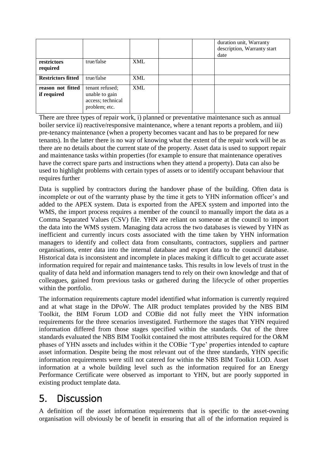|                                  |                                                                         |            |  | duration unit, Warranty<br>description, Warranty start<br>date |
|----------------------------------|-------------------------------------------------------------------------|------------|--|----------------------------------------------------------------|
| restrictors<br>required          | true/false                                                              | <b>XML</b> |  |                                                                |
| <b>Restrictors fitted</b>        | true/false                                                              | <b>XML</b> |  |                                                                |
| reason not fitted<br>if required | tenant refused;<br>unable to gain<br>access; technical<br>problem; etc. | <b>XML</b> |  |                                                                |

There are three types of repair work, i) planned or preventative maintenance such as annual boiler service ii) reactive/responsive maintenance, where a tenant reports a problem, and iii) pre-tenancy maintenance (when a property becomes vacant and has to be prepared for new tenants). In the latter there is no way of knowing what the extent of the repair work will be as there are no details about the current state of the property. Asset data is used to support repair and maintenance tasks within properties (for example to ensure that maintenance operatives have the correct spare parts and instructions when they attend a property). Data can also be used to highlight problems with certain types of assets or to identify occupant behaviour that requires further

Data is supplied by contractors during the handover phase of the building. Often data is incomplete or out of the warranty phase by the time it gets to YHN information officer's and added to the APEX system. Data is exported from the APEX system and imported into the WMS, the import process requires a member of the council to manually import the data as a Comma Separated Values (CSV) file. YHN are reliant on someone at the council to import the data into the WMS system. Managing data across the two databases is viewed by YHN as inefficient and currently incurs costs associated with the time taken by YHN information managers to identify and collect data from consultants, contractors, suppliers and partner organisations, enter data into the internal database and export data to the council database. Historical data is inconsistent and incomplete in places making it difficult to get accurate asset information required for repair and maintenance tasks. This results in low levels of trust in the quality of data held and information managers tend to rely on their own knowledge and that of colleagues, gained from previous tasks or gathered during the lifecycle of other properties within the portfolio.

The information requirements capture model identified what information is currently required and at what stage in the DPoW. The AIR product templates provided by the NBS BIM Toolkit, the BIM Forum LOD and COBie did not fully meet the YHN information requirements for the three scenarios investigated. Furthermore the stages that YHN required information differed from those stages specified within the standards. Out of the three standards evaluated the NBS BIM Toolkit contained the most attributes required for the O&M phases of YHN assets and includes within it the COBie 'Type' properties intended to capture asset information. Despite being the most relevant out of the three standards, YHN specific information requirements were still not catered for within the NBS BIM Toolkit LOD. Asset information at a whole building level such as the information required for an Energy Performance Certificate were observed as important to YHN, but are poorly supported in existing product template data.

#### 5. Discussion

A definition of the asset information requirements that is specific to the asset-owning organisation will obviously be of benefit in ensuring that all of the information required is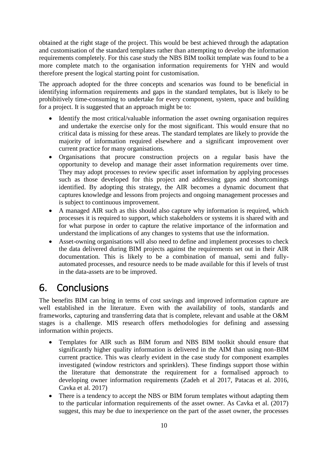obtained at the right stage of the project. This would be best achieved through the adaptation and customisation of the standard templates rather than attempting to develop the information requirements completely. For this case study the NBS BIM toolkit template was found to be a more complete match to the organisation information requirements for YHN and would therefore present the logical starting point for customisation.

The approach adopted for the three concepts and scenarios was found to be beneficial in identifying information requirements and gaps in the standard templates, but is likely to be prohibitively time-consuming to undertake for every component, system, space and building for a project. It is suggested that an approach might be to:

- Identify the most critical/valuable information the asset owning organisation requires and undertake the exercise only for the most significant. This would ensure that no critical data is missing for these areas. The standard templates are likely to provide the majority of information required elsewhere and a significant improvement over current practice for many organisations.
- Organisations that procure construction projects on a regular basis have the opportunity to develop and manage their asset information requirements over time. They may adopt processes to review specific asset information by applying processes such as those developed for this project and addressing gaps and shortcomings identified. By adopting this strategy, the AIR becomes a dynamic document that captures knowledge and lessons from projects and ongoing management processes and is subject to continuous improvement.
- A managed AIR such as this should also capture why information is required, which processes it is required to support, which stakeholders or systems it is shared with and for what purpose in order to capture the relative importance of the information and understand the implications of any changes to systems that use the information.
- Asset-owning organisations will also need to define and implement processes to check the data delivered during BIM projects against the requirements set out in their AIR documentation. This is likely to be a combination of manual, semi and fullyautomated processes, and resource needs to be made available for this if levels of trust in the data-assets are to be improved.

# 6. Conclusions

The benefits BIM can bring in terms of cost savings and improved information capture are well established in the literature. Even with the availability of tools, standards and frameworks, capturing and transferring data that is complete, relevant and usable at the O&M stages is a challenge. MIS research offers methodologies for defining and assessing information within projects.

- Templates for AIR such as BIM forum and NBS BIM toolkit should ensure that significantly higher quality information is delivered in the AIM than using non-BIM current practice. This was clearly evident in the case study for component examples investigated (window restrictors and sprinklers). These findings support those within the literature that demonstrate the requirement for a formalised approach to developing owner information requirements (Zadeh et al 2017, Patacas et al. 2016, Cavka et al. 2017)
- There is a tendency to accept the NBS or BIM forum templates without adapting them to the particular information requirements of the asset owner. As Cavka et al. (2017) suggest, this may be due to inexperience on the part of the asset owner, the processes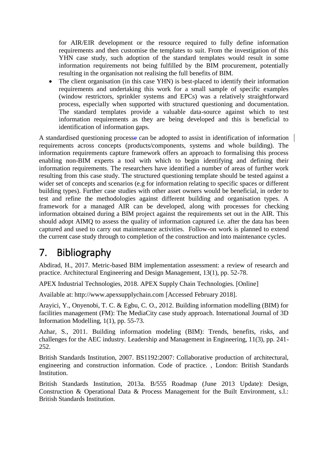for AIR/EIR development or the resource required to fully define information requirements and then customise the templates to suit. From the investigation of this YHN case study, such adoption of the standard templates would result in some information requirements not being fulfilled by the BIM procurement, potentially resulting in the organisation not realising the full benefits of BIM.

• The client organisation (in this case YHN) is best-placed to identify their information requirements and undertaking this work for a small sample of specific examples (window restrictors, sprinkler systems and EPCs) was a relatively straightforward process, especially when supported with structured questioning and documentation. The standard templates provide a valuable data-source against which to test information requirements as they are being developed and this is beneficial to identification of information gaps.

A standardised questioning processe can be adopted to assist in identification of information requirements across concepts (products/components, systems and whole building). The information requirements capture framework offers an approach to formalising this process enabling non-BIM experts a tool with which to begin identifying and defining their information requirements. The researchers have identified a number of areas of further work resulting from this case study. The structured questioning template should be tested against a wider set of concepts and scenarios (e.g for information relating to specific spaces or different building types). Further case studies with other asset owners would be beneficial, in order to test and refine the methodologies against different building and organisation types. A framework for a managed AIR can be developed, along with processes for checking information obtained during a BIM project against the requirements set out in the AIR. This should adopt AIMQ to assess the quality of information captured i.e. after the data has been captured and used to carry out maintenance activities. Follow-on work is planned to extend the current case study through to completion of the construction and into maintenance cycles.

## 7. Bibliography

Abdirad, H., 2017. Metric-based BIM implementation assessment: a review of research and practice. Architectural Engineering and Design Management, 13(1), pp. 52-78.

APEX Industrial Technologies, 2018. APEX Supply Chain Technologies. [Online]

Available at: http://www.apexsupplychain.com [Accessed February 2018].

Arayici, Y., Onyenobi, T. C. & Egbu, C. O., 2012. Building information modelling (BIM) for facilities management (FM): The MediaCity case study approach. International Journal of 3D Information Modelling, 1(1), pp. 55-73.

Azhar, S., 2011. Building information modeling (BIM): Trends, benefits, risks, and challenges for the AEC industry. Leadership and Management in Engineering, 11(3), pp. 241- 252.

British Standards Institution, 2007. BS1192:2007: Collaborative production of architectural, engineering and construction information. Code of practice. , London: British Standards Institution.

British Standards Institution, 2013a. B/555 Roadmap (June 2013 Update): Design, Construction & Operational Data & Process Management for the Built Environment, s.l.: British Standards Institution.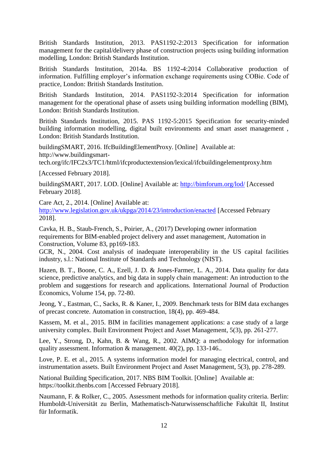British Standards Institution, 2013. PAS1192-2:2013 Specification for information management for the capital/delivery phase of construction projects using building information modelling, London: British Standards Institution.

British Standards Institution, 2014a. BS 1192-4:2014 Collaborative production of information. Fulfilling employer's information exchange requirements using COBie. Code of practice, London: British Standards Institution.

British Standards Institution, 2014. PAS1192-3:2014 Specification for information management for the operational phase of assets using building information modelling (BIM), London: British Standards Institution.

British Standards Institution, 2015. PAS 1192-5:2015 Specification for security-minded building information modelling, digital built environments and smart asset management , London: British Standards Institution.

buildingSMART, 2016. IfcBuildingElementProxy. [Online] Available at: http://www.buildingsmart-

tech.org/ifc/IFC2x3/TC1/html/ifcproductextension/lexical/ifcbuildingelementproxy.htm

[Accessed February 2018].

buildingSMART, 2017. LOD. [Online] Available at:<http://bimforum.org/lod/> [Accessed February 2018].

Care Act, 2., 2014. [Online] Available at:

<http://www.legislation.gov.uk/ukpga/2014/23/introduction/enacted> [Accessed February 2018].

Cavka, H. B., Staub-French, S., Poirier, A., (2017) Developing owner information requirements for BIM-enabled project delivery and asset management, Automation in Construction, Volume 83, pp169-183.

GCR, N., 2004. Cost analysis of inadequate interoperability in the US capital facilities industry, s.l.: National Institute of Standards and Technology (NIST).

Hazen, B. T., Boone, C. A., Ezell, J. D. & Jones-Farmer, L. A., 2014. Data quality for data science, predictive analytics, and big data in supply chain management: An introduction to the problem and suggestions for research and applications. International Journal of Production Economics, Volume 154, pp. 72-80.

Jeong, Y., Eastman, C., Sacks, R. & Kaner, I., 2009. Benchmark tests for BIM data exchanges of precast concrete. Automation in construction, 18(4), pp. 469-484.

Kassem, M. et al., 2015. BIM in facilities management applications: a case study of a large university complex. Built Environment Project and Asset Management, 5(3), pp. 261-277.

Lee, Y., Strong, D., Kahn, B. & Wang, R., 2002. AIMQ: a methodology for information quality assessment. Information & management. 40(2), pp. 133-146..

Love, P. E. et al., 2015. A systems information model for managing electrical, control, and instrumentation assets. Built Environment Project and Asset Management, 5(3), pp. 278-289.

National Building Specification, 2017. NBS BIM Toolkit. [Online] Available at: https://toolkit.thenbs.com [Accessed February 2018].

Naumann, F. & Rolker, C., 2005. Assessment methods for information quality criteria. Berlin: Humboldt-Universität zu Berlin, Mathematisch-Naturwissenschaftliche Fakultät II, Institut für Informatik.